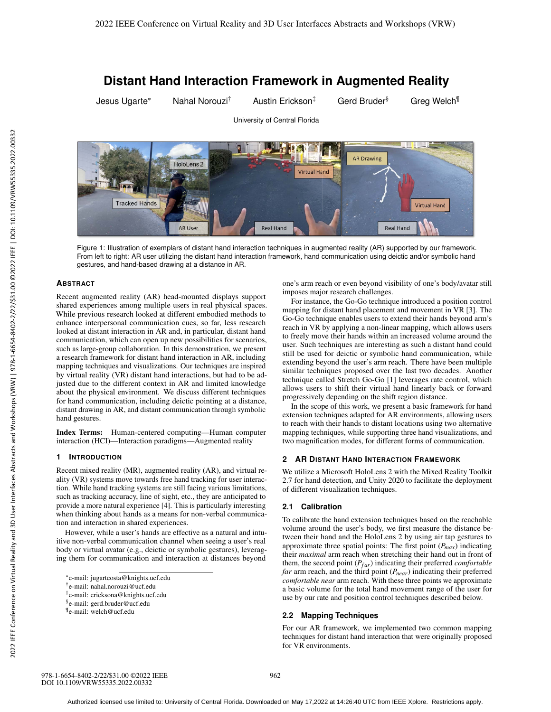# **Distant Hand Interaction Framework in Augmented Reality**

University of Central Florida

**Tracked Hands** 

**AR User** 

Jesus Ugarte\* Nahal Norouzi<sup>†</sup> Austin Erickson<sup>‡</sup> Gerd Bruder<sup>§</sup> Greg Welch<sup>¶</sup>

**Virtual Hand** 

**AND AR Drawing** HoloLens<sub>2</sub> **Virtual Hand** 

Figure 1: Illustration of exemplars of distant hand interaction techniques in augmented reality (AR) supported by our framework. From left to right: AR user utilizing the distant hand interaction framework, hand communication using deictic and/or symbolic hand gestures, and hand-based drawing at a distance in AR.

**Real Hand** 

# **ABSTRACT**

Recent augmented reality (AR) head-mounted displays support shared experiences among multiple users in real physical spaces. While previous research looked at different embodied methods to enhance interpersonal communication cues, so far, less research looked at distant interaction in AR and, in particular, distant hand communication, which can open up new possibilities for scenarios, such as large-group collaboration. In this demonstration, we present a research framework for distant hand interaction in AR, including mapping techniques and visualizations. Our techniques are inspired by virtual reality (VR) distant hand interactions, but had to be adjusted due to the different context in AR and limited knowledge about the physical environment. We discuss different techniques for hand communication, including deictic pointing at a distance, distant drawing in AR, and distant communication through symbolic hand gestures.

Index Terms: Human-centered computing—Human computer interaction (HCI)—Interaction paradigms—Augmented reality

#### **1 INTRODUCTION**

Recent mixed reality (MR), augmented reality (AR), and virtual reality (VR) systems move towards free hand tracking for user interaction. While hand tracking systems are still facing various limitations, such as tracking accuracy, line of sight, etc., they are anticipated to provide a more natural experience [4]. This is particularly interesting when thinking about hands as a means for non-verbal communication and interaction in shared experiences.

However, while a user's hands are effective as a natural and intuitive non-verbal communication channel when seeing a user's real body or virtual avatar (e.g., deictic or symbolic gestures), leveraging them for communication and interaction at distances beyond

one's arm reach or even beyond visibility of one's body/avatar still imposes major research challenges.

**Real Hand** 

For instance, the Go-Go technique introduced a position control mapping for distant hand placement and movement in VR [3]. The Go-Go technique enables users to extend their hands beyond arm's reach in VR by applying a non-linear mapping, which allows users to freely move their hands within an increased volume around the user. Such techniques are interesting as such a distant hand could still be used for deictic or symbolic hand communication, while extending beyond the user's arm reach. There have been multiple similar techniques proposed over the last two decades. Another technique called Stretch Go-Go [1] leverages rate control, which allows users to shift their virtual hand linearly back or forward progressively depending on the shift region distance.

In the scope of this work, we present a basic framework for hand extension techniques adapted for AR environments, allowing users to reach with their hands to distant locations using two alternative mapping techniques, while supporting three hand visualizations, and two magnification modes, for different forms of communication.

# **2 AR DISTANT HAND INTERACTION FRAMEWORK**

We utilize a Microsoft HoloLens 2 with the Mixed Reality Toolkit 2.7 for hand detection, and Unity 2020 to facilitate the deployment of different visualization techniques.

#### **2.1 Calibration**

To calibrate the hand extension techniques based on the reachable volume around the user's body, we first measure the distance between their hand and the HoloLens 2 by using air tap gestures to approximate three spatial points: The first point  $(P_{max})$  indicating their *maximal* arm reach when stretching their hand out in front of them, the second point  $(P_{far})$  indicating their preferred *comfortable far* arm reach, and the third point (*Pnear*) indicating their preferred *comfortable near* arm reach. With these three points we approximate a basic volume for the total hand movement range of the user for use by our rate and position control techniques described below.

#### **2.2 Mapping Techniques**

For our AR framework, we implemented two common mapping techniques for distant hand interaction that were originally proposed for VR environments.

<sup>\*</sup>e-mail: jugarteosta@knights.ucf.edu

<sup>†</sup>e-mail: nahal.norouzi@ucf.edu

<sup>‡</sup>e-mail: ericksona@knights.ucf.edu

<sup>§</sup>e-mail: gerd.bruder@ucf.edu

<sup>¶</sup>e-mail: welch@ucf.edu